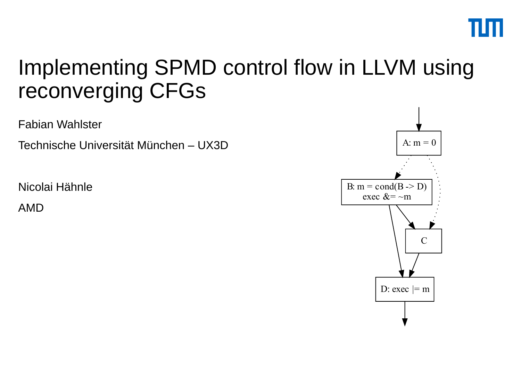

#### Implementing SPMD control flow in LLVM using reconverging CFGs

Fabian Wahlster

Technische Universität München – UX3D

Nicolai Hähnle

AMD

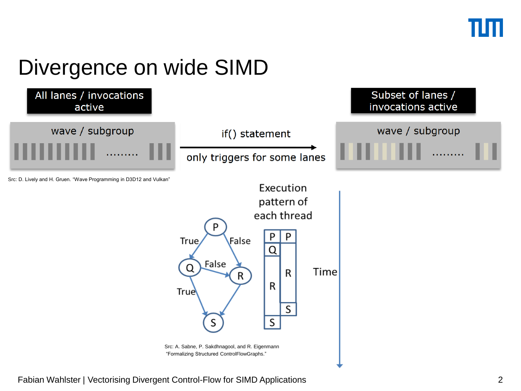## Divergence on wide SIMD



Fabian Wahlster | Vectorising Divergent Control-Flow for SIMD Applications 2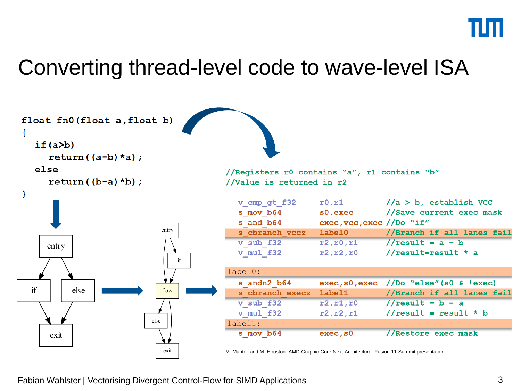#### Converting thread-level code to wave-level ISA

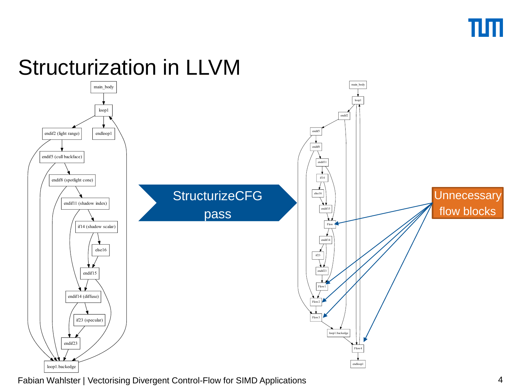

## Structurization in LLVM



Fabian Wahlster | Vectorising Divergent Control-Flow for SIMD Applications 4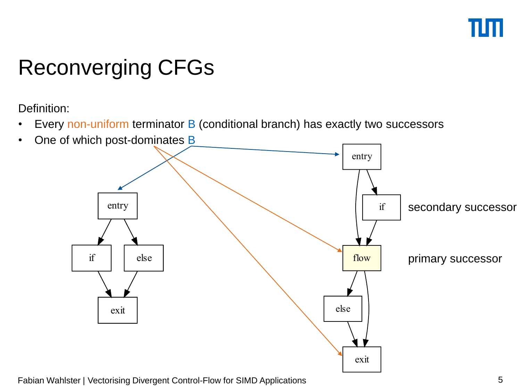# Reconverging CFGs

Definition:

- Every non-uniform terminator B (conditional branch) has exactly two successors
- One of which post-dominates B

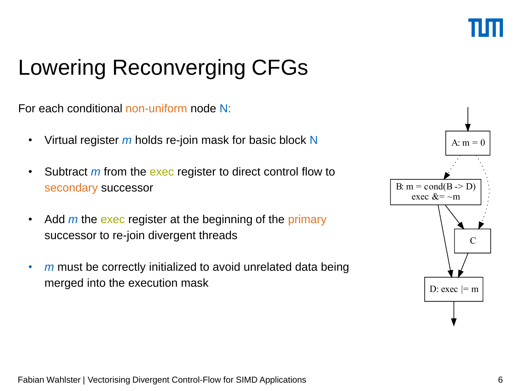# Lowering Reconverging CFGs

For each conditional non-uniform node N:

- Virtual register *m* holds re-join mask for basic block N
- Subtract *m* from the exec register to direct control flow to secondary successor
- Add *m* the exec register at the beginning of the primary successor to re-join divergent threads
- *m* must be correctly initialized to avoid unrelated data being merged into the execution mask

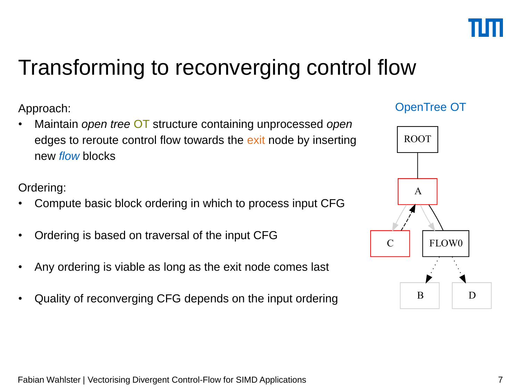

#### Transforming to reconverging control flow

Approach:

• Maintain *open tree* OT structure containing unprocessed *open* edges to reroute control flow towards the exit node by inserting new *flow* blocks

Ordering:

- Compute basic block ordering in which to process input CFG
- Ordering is based on traversal of the input CFG
- Any ordering is viable as long as the exit node comes last
- Quality of reconverging CFG depends on the input ordering

#### OpenTree OT

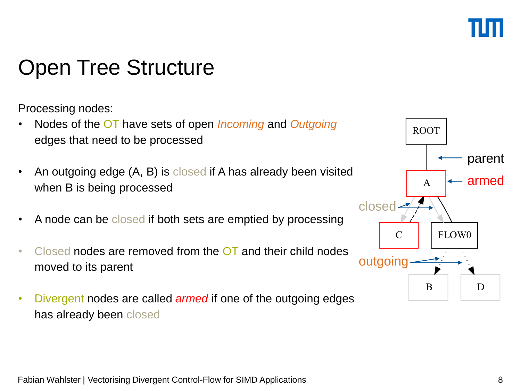## Open Tree Structure

Processing nodes:

- Nodes of the OT have sets of open *Incoming* and *Outgoing* edges that need to be processed
- An outgoing edge (A, B) is closed if A has already been visited when B is being processed
- A node can be closed if both sets are emptied by processing
- Closed nodes are removed from the OT and their child nodes moved to its parent
- Divergent nodes are called *armed* if one of the outgoing edges has already been closed

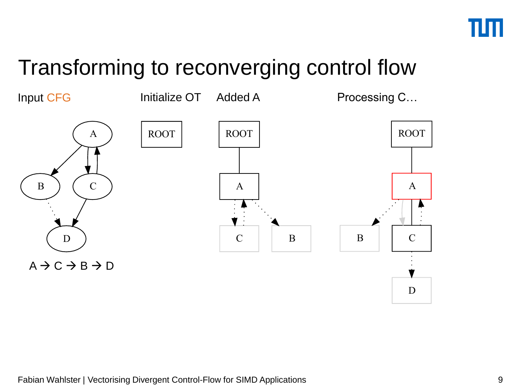#### Transforming to reconverging control flow

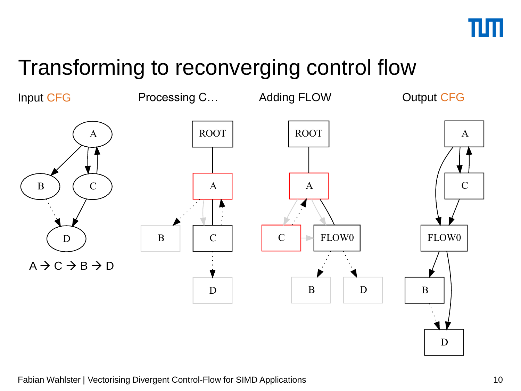

#### Transforming to reconverging control flow

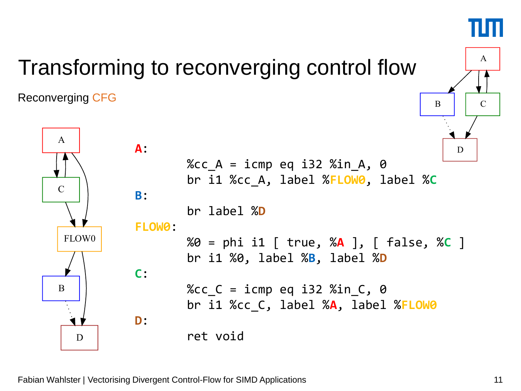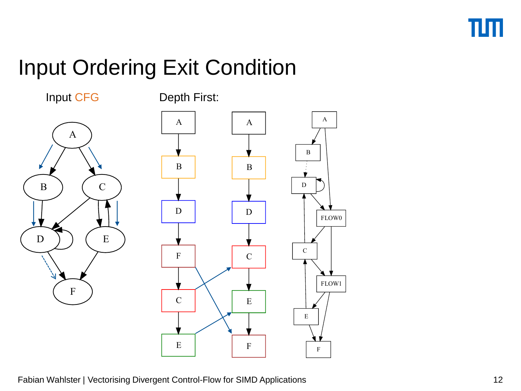# Input Ordering Exit Condition

Input CFG

Depth First:



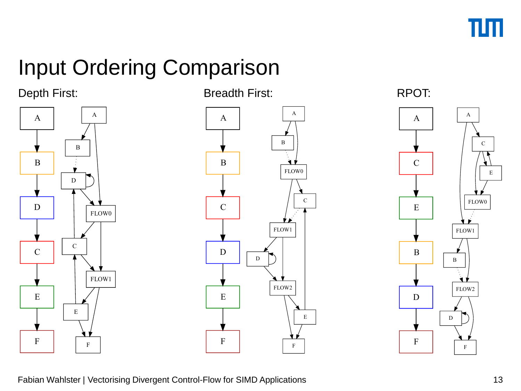

# Input Ordering Comparison

#### Depth First: